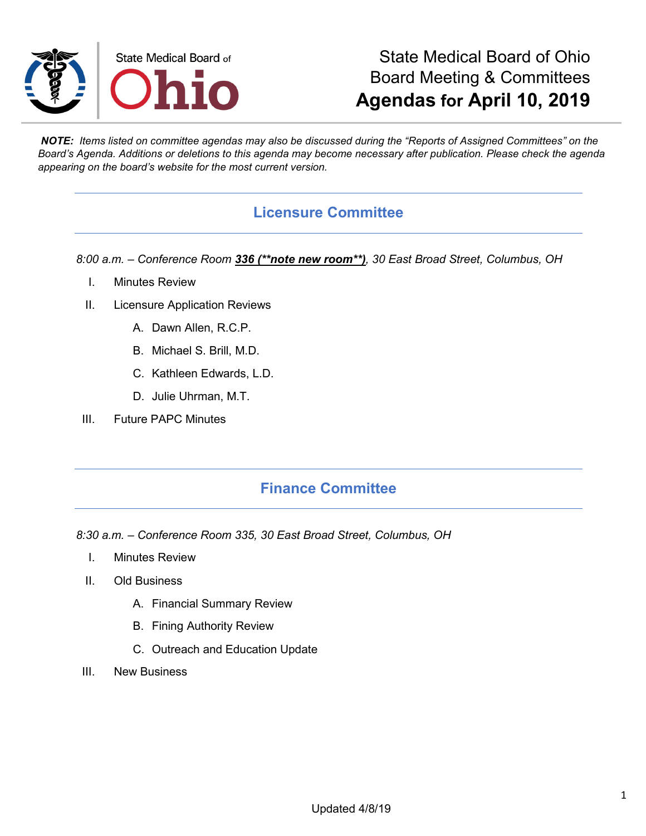

# State Medical Board of Ohio Board Meeting & Committees **Agendas for April 10, 2019**

*NOTE: Items listed on committee agendas may also be discussed during the "Reports of Assigned Committees" on the Board's Agenda. Additions or deletions to this agenda may become necessary after publication. Please check the agenda appearing on the board's website for the most current version.*

### **Licensure Committee**

*8:00 a.m. – Conference Room 336 (\*\*note new room\*\*), 30 East Broad Street, Columbus, OH*

- I. Minutes Review
- II. Licensure Application Reviews
	- A. Dawn Allen, R.C.P.
	- B. Michael S. Brill, M.D.
	- C. Kathleen Edwards, L.D.
	- D. Julie Uhrman, M.T.
- III. Future PAPC Minutes

### **Finance Committee**

*8:30 a.m. – Conference Room 335, 30 East Broad Street, Columbus, OH*

- I. Minutes Review
- II. Old Business
	- A. Financial Summary Review
	- B. Fining Authority Review
	- C. Outreach and Education Update
- III. New Business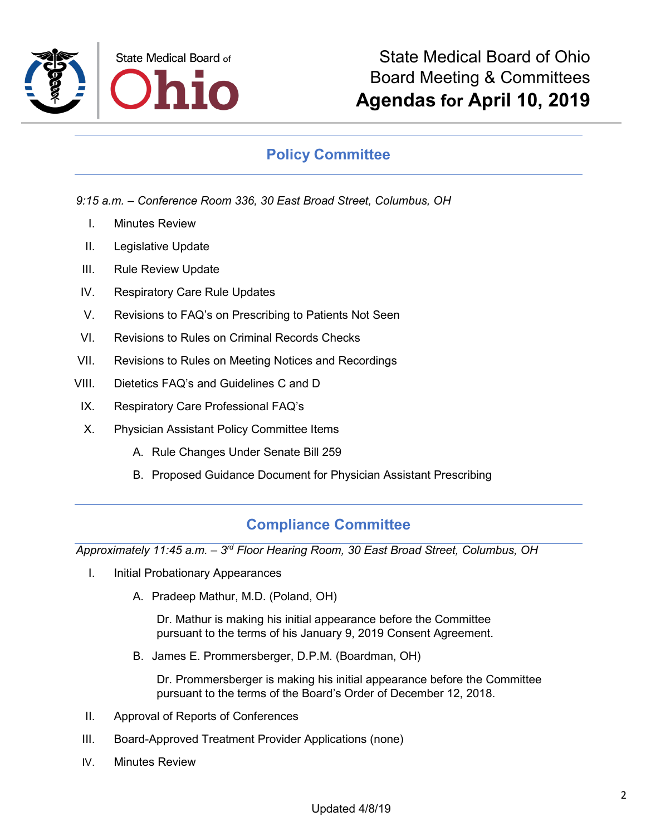

## **Policy Committee**

*9:15 a.m. – Conference Room 336, 30 East Broad Street, Columbus, OH*

- I. Minutes Review
- II. Legislative Update
- III. Rule Review Update
- IV. Respiratory Care Rule Updates
- V. Revisions to FAQ's on Prescribing to Patients Not Seen
- VI. Revisions to Rules on Criminal Records Checks
- VII. Revisions to Rules on Meeting Notices and Recordings
- VIII. Dietetics FAQ's and Guidelines C and D
- IX. Respiratory Care Professional FAQ's
- X. Physician Assistant Policy Committee Items
	- A. Rule Changes Under Senate Bill 259
	- B. Proposed Guidance Document for Physician Assistant Prescribing

## **Compliance Committee**

*Approximately 11:45 a.m. – 3rd Floor Hearing Room, 30 East Broad Street, Columbus, OH*

- I. Initial Probationary Appearances
	- A. Pradeep Mathur, M.D. (Poland, OH)

Dr. Mathur is making his initial appearance before the Committee pursuant to the terms of his January 9, 2019 Consent Agreement.

B. James E. Prommersberger, D.P.M. (Boardman, OH)

Dr. Prommersberger is making his initial appearance before the Committee pursuant to the terms of the Board's Order of December 12, 2018.

- II. Approval of Reports of Conferences
- III. Board-Approved Treatment Provider Applications (none)
- IV. Minutes Review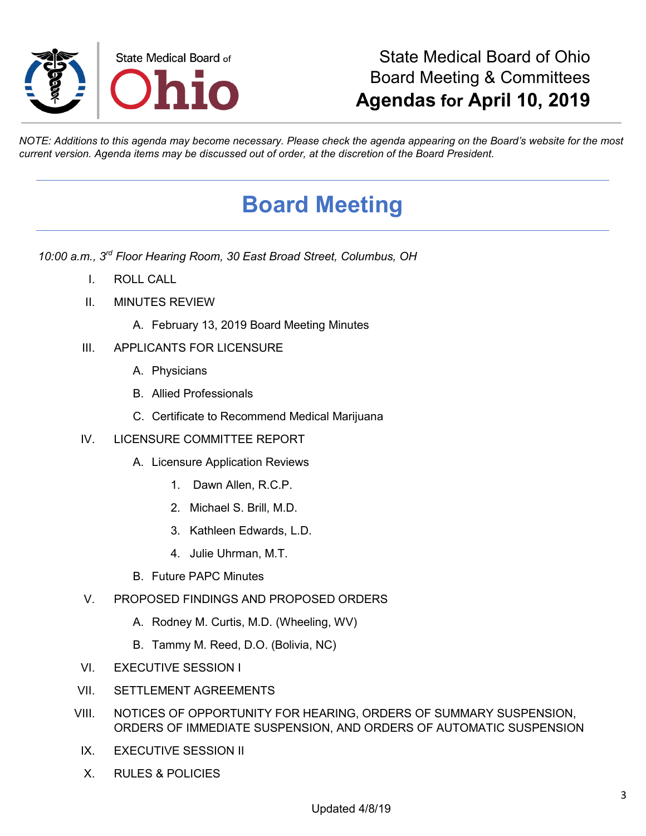

# State Medical Board of Ohio Board Meeting & Committees **Agendas for April 10, 2019**

*NOTE: Additions to this agenda may become necessary. Please check the agenda appearing on the Board's website for the most current version. Agenda items may be discussed out of order, at the discretion of the Board President.*

# **Board Meeting**

*10:00 a.m., 3rd Floor Hearing Room, 30 East Broad Street, Columbus, OH*

- I. ROLL CALL
- II. MINUTES REVIEW
	- A. February 13, 2019 Board Meeting Minutes
- III. APPLICANTS FOR LICENSURE
	- A. Physicians
	- B. Allied Professionals
	- C. Certificate to Recommend Medical Marijuana
- IV. LICENSURE COMMITTEE REPORT
	- A. Licensure Application Reviews
		- 1. Dawn Allen, R.C.P.
		- 2. Michael S. Brill, M.D.
		- 3. Kathleen Edwards, L.D.
		- 4. Julie Uhrman, M.T.
	- B. Future PAPC Minutes
- V. PROPOSED FINDINGS AND PROPOSED ORDERS
	- A. Rodney M. Curtis, M.D. (Wheeling, WV)
	- B. Tammy M. Reed, D.O. (Bolivia, NC)
- VI. EXECUTIVE SESSION I
- VII. SETTLEMENT AGREEMENTS
- VIII. NOTICES OF OPPORTUNITY FOR HEARING, ORDERS OF SUMMARY SUSPENSION, ORDERS OF IMMEDIATE SUSPENSION, AND ORDERS OF AUTOMATIC SUSPENSION
- IX. EXECUTIVE SESSION II
- X. RULES & POLICIES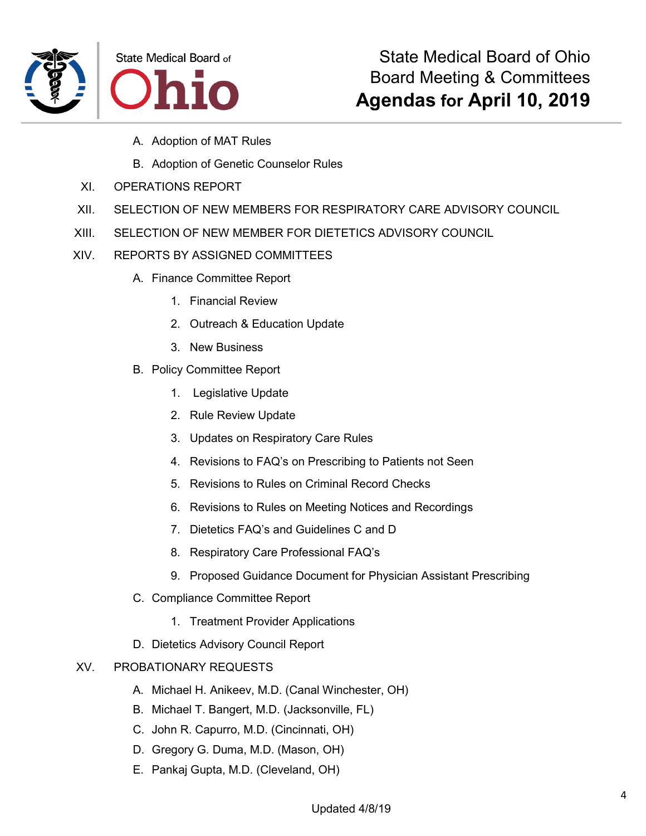

- A. Adoption of MAT Rules
- B. Adoption of Genetic Counselor Rules
- XI. OPERATIONS REPORT
- XII. SELECTION OF NEW MEMBERS FOR RESPIRATORY CARE ADVISORY COUNCIL
- XIII. SELECTION OF NEW MEMBER FOR DIETETICS ADVISORY COUNCIL
- XIV. REPORTS BY ASSIGNED COMMITTEES
	- A. Finance Committee Report
		- 1. Financial Review
		- 2. Outreach & Education Update
		- 3. New Business
	- B. Policy Committee Report
		- 1. Legislative Update
		- 2. Rule Review Update
		- 3. Updates on Respiratory Care Rules
		- 4. Revisions to FAQ's on Prescribing to Patients not Seen
		- 5. Revisions to Rules on Criminal Record Checks
		- 6. Revisions to Rules on Meeting Notices and Recordings
		- 7. Dietetics FAQ's and Guidelines C and D
		- 8. Respiratory Care Professional FAQ's
		- 9. Proposed Guidance Document for Physician Assistant Prescribing
	- C. Compliance Committee Report
		- 1. Treatment Provider Applications
	- D. Dietetics Advisory Council Report

#### XV. PROBATIONARY REQUESTS

- A. Michael H. Anikeev, M.D. (Canal Winchester, OH)
- B. Michael T. Bangert, M.D. (Jacksonville, FL)
- C. John R. Capurro, M.D. (Cincinnati, OH)
- D. Gregory G. Duma, M.D. (Mason, OH)
- E. Pankaj Gupta, M.D. (Cleveland, OH)